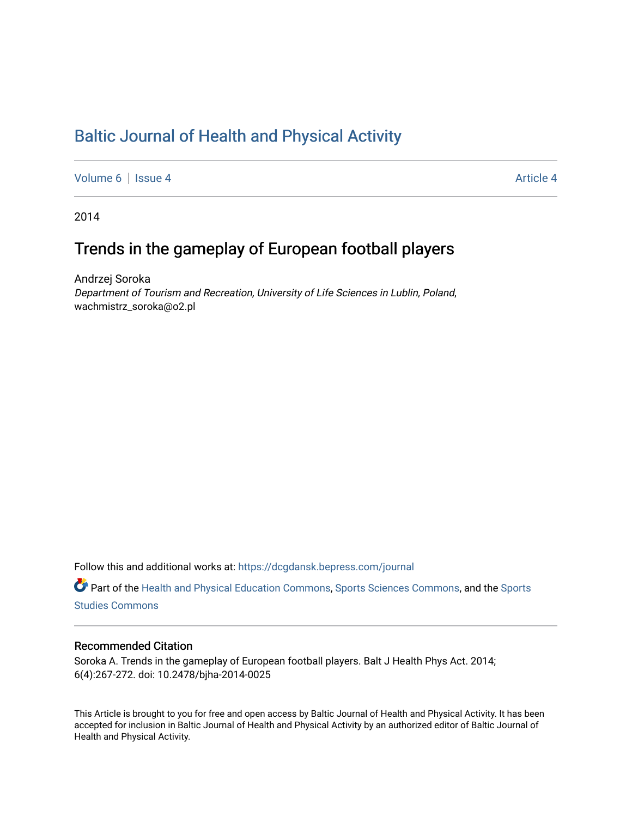## [Baltic Journal of Health and Physical Activity](https://dcgdansk.bepress.com/journal)

[Volume 6](https://dcgdansk.bepress.com/journal/vol6) | [Issue 4](https://dcgdansk.bepress.com/journal/vol6/iss4) Article 4

2014

# Trends in the gameplay of European football players

Andrzej Soroka Department of Tourism and Recreation, University of Life Sciences in Lublin, Poland, wachmistrz\_soroka@o2.pl

Follow this and additional works at: [https://dcgdansk.bepress.com/journal](https://dcgdansk.bepress.com/journal?utm_source=dcgdansk.bepress.com%2Fjournal%2Fvol6%2Fiss4%2F4&utm_medium=PDF&utm_campaign=PDFCoverPages)

Part of the [Health and Physical Education Commons](http://network.bepress.com/hgg/discipline/1327?utm_source=dcgdansk.bepress.com%2Fjournal%2Fvol6%2Fiss4%2F4&utm_medium=PDF&utm_campaign=PDFCoverPages), [Sports Sciences Commons](http://network.bepress.com/hgg/discipline/759?utm_source=dcgdansk.bepress.com%2Fjournal%2Fvol6%2Fiss4%2F4&utm_medium=PDF&utm_campaign=PDFCoverPages), and the [Sports](http://network.bepress.com/hgg/discipline/1198?utm_source=dcgdansk.bepress.com%2Fjournal%2Fvol6%2Fiss4%2F4&utm_medium=PDF&utm_campaign=PDFCoverPages)  [Studies Commons](http://network.bepress.com/hgg/discipline/1198?utm_source=dcgdansk.bepress.com%2Fjournal%2Fvol6%2Fiss4%2F4&utm_medium=PDF&utm_campaign=PDFCoverPages) 

#### Recommended Citation

Soroka A. Trends in the gameplay of European football players. Balt J Health Phys Act. 2014; 6(4):267-272. doi: 10.2478/bjha-2014-0025

This Article is brought to you for free and open access by Baltic Journal of Health and Physical Activity. It has been accepted for inclusion in Baltic Journal of Health and Physical Activity by an authorized editor of Baltic Journal of Health and Physical Activity.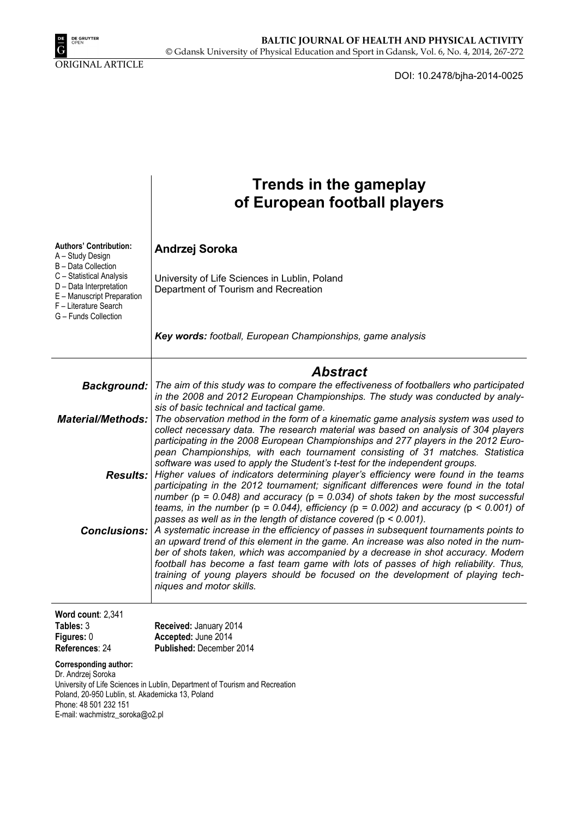

ORIGINAL ARTICLE

DOI: 10.2478/bjha-2014-0025

|                                                                                                                                                                                                                                            | <b>Trends in the gameplay</b><br>of European football players                                                                                                                                                                                                                                                                                                                                                                                                          |  |  |  |  |  |
|--------------------------------------------------------------------------------------------------------------------------------------------------------------------------------------------------------------------------------------------|------------------------------------------------------------------------------------------------------------------------------------------------------------------------------------------------------------------------------------------------------------------------------------------------------------------------------------------------------------------------------------------------------------------------------------------------------------------------|--|--|--|--|--|
| <b>Authors' Contribution:</b><br>A - Study Design<br>B - Data Collection<br>C - Statistical Analysis<br>D - Data Interpretation<br>E - Manuscript Preparation<br>F - Literature Search<br>G - Funds Collection                             | Andrzej Soroka<br>University of Life Sciences in Lublin, Poland<br>Department of Tourism and Recreation                                                                                                                                                                                                                                                                                                                                                                |  |  |  |  |  |
|                                                                                                                                                                                                                                            | Key words: football, European Championships, game analysis                                                                                                                                                                                                                                                                                                                                                                                                             |  |  |  |  |  |
|                                                                                                                                                                                                                                            | <b>Abstract</b>                                                                                                                                                                                                                                                                                                                                                                                                                                                        |  |  |  |  |  |
| <b>Background:</b>                                                                                                                                                                                                                         | The aim of this study was to compare the effectiveness of footballers who participated<br>in the 2008 and 2012 European Championships. The study was conducted by analy-<br>sis of basic technical and tactical game.                                                                                                                                                                                                                                                  |  |  |  |  |  |
| <b>Material/Methods:</b>                                                                                                                                                                                                                   | The observation method in the form of a kinematic game analysis system was used to<br>collect necessary data. The research material was based on analysis of 304 players<br>participating in the 2008 European Championships and 277 players in the 2012 Euro-<br>pean Championships, with each tournament consisting of 31 matches. Statistica<br>software was used to apply the Student's t-test for the independent groups.                                         |  |  |  |  |  |
|                                                                                                                                                                                                                                            | <b>Results:</b> Higher values of indicators determining player's efficiency were found in the teams<br>participating in the 2012 tournament; significant differences were found in the total<br>number ( $p = 0.048$ ) and accuracy ( $p = 0.034$ ) of shots taken by the most successful<br>teams, in the number ( $p = 0.044$ ), efficiency ( $p = 0.002$ ) and accuracy ( $p < 0.001$ ) of<br>passes as well as in the length of distance covered ( $p < 0.001$ ).  |  |  |  |  |  |
| <b>Conclusions:</b>                                                                                                                                                                                                                        | A systematic increase in the efficiency of passes in subsequent tournaments points to<br>an upward trend of this element in the game. An increase was also noted in the num-<br>ber of shots taken, which was accompanied by a decrease in shot accuracy. Modern<br>football has become a fast team game with lots of passes of high reliability. Thus,<br>training of young players should be focused on the development of playing tech-<br>niques and motor skills. |  |  |  |  |  |
| Word count: 2,341<br>Tables: 3<br>Figures: 0<br>References: 24                                                                                                                                                                             | Received: January 2014<br>Accepted: June 2014<br>Published: December 2014                                                                                                                                                                                                                                                                                                                                                                                              |  |  |  |  |  |
| Corresponding author:<br>Dr. Andrzej Soroka<br>University of Life Sciences in Lublin, Department of Tourism and Recreation<br>Poland, 20-950 Lublin, st. Akademicka 13, Poland<br>Phone: 48 501 232 151<br>E-mail: wachmistrz_soroka@o2.pl |                                                                                                                                                                                                                                                                                                                                                                                                                                                                        |  |  |  |  |  |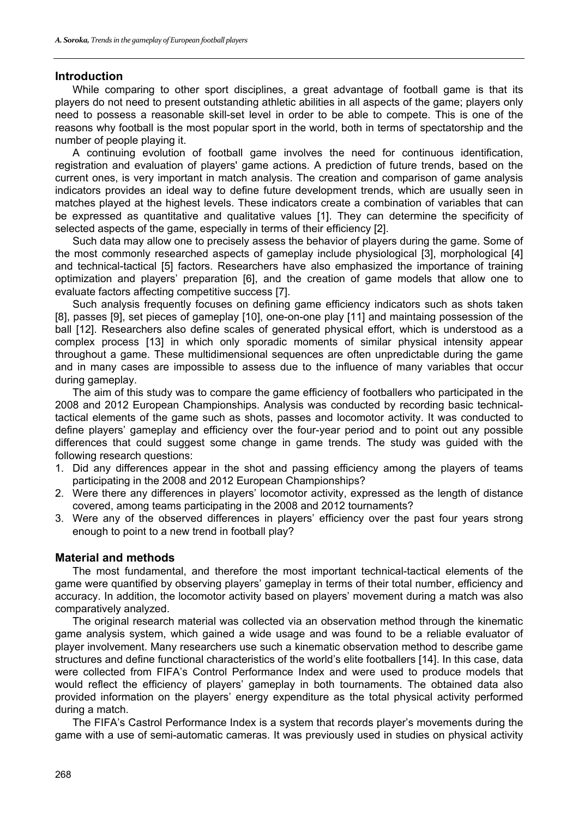#### **Introduction**

While comparing to other sport disciplines, a great advantage of football game is that its players do not need to present outstanding athletic abilities in all aspects of the game; players only need to possess a reasonable skill-set level in order to be able to compete. This is one of the reasons why football is the most popular sport in the world, both in terms of spectatorship and the number of people playing it.

A continuing evolution of football game involves the need for continuous identification, registration and evaluation of players' game actions. A prediction of future trends, based on the current ones, is very important in match analysis. The creation and comparison of game analysis indicators provides an ideal way to define future development trends, which are usually seen in matches played at the highest levels. These indicators create a combination of variables that can be expressed as quantitative and qualitative values [1]. They can determine the specificity of selected aspects of the game, especially in terms of their efficiency [2].

Such data may allow one to precisely assess the behavior of players during the game. Some of the most commonly researched aspects of gameplay include physiological [3], morphological [4] and technical-tactical [5] factors. Researchers have also emphasized the importance of training optimization and players' preparation [6], and the creation of game models that allow one to evaluate factors affecting competitive success [7].

Such analysis frequently focuses on defining game efficiency indicators such as shots taken [8], passes [9], set pieces of gameplay [10], one-on-one play [11] and maintaing possession of the ball [12]. Researchers also define scales of generated physical effort, which is understood as a complex process [13] in which only sporadic moments of similar physical intensity appear throughout a game. These multidimensional sequences are often unpredictable during the game and in many cases are impossible to assess due to the influence of many variables that occur during gameplay.

The aim of this study was to compare the game efficiency of footballers who participated in the 2008 and 2012 European Championships. Analysis was conducted by recording basic technicaltactical elements of the game such as shots, passes and locomotor activity. It was conducted to define players' gameplay and efficiency over the four-year period and to point out any possible differences that could suggest some change in game trends. The study was guided with the following research questions:

- 1. Did any differences appear in the shot and passing efficiency among the players of teams participating in the 2008 and 2012 European Championships?
- 2. Were there any differences in players' locomotor activity, expressed as the length of distance covered, among teams participating in the 2008 and 2012 tournaments?
- 3. Were any of the observed differences in players' efficiency over the past four years strong enough to point to a new trend in football play?

#### **Material and methods**

The most fundamental, and therefore the most important technical-tactical elements of the game were quantified by observing players' gameplay in terms of their total number, efficiency and accuracy. In addition, the locomotor activity based on players' movement during a match was also comparatively analyzed.

The original research material was collected via an observation method through the kinematic game analysis system, which gained a wide usage and was found to be a reliable evaluator of player involvement. Many researchers use such a kinematic observation method to describe game structures and define functional characteristics of the world's elite footballers [14]. In this case, data were collected from FIFA's Control Performance Index and were used to produce models that would reflect the efficiency of players' gameplay in both tournaments. The obtained data also provided information on the players' energy expenditure as the total physical activity performed during a match.

The FIFA's Castrol Performance Index is a system that records player's movements during the game with a use of semi-automatic cameras. It was previously used in studies on physical activity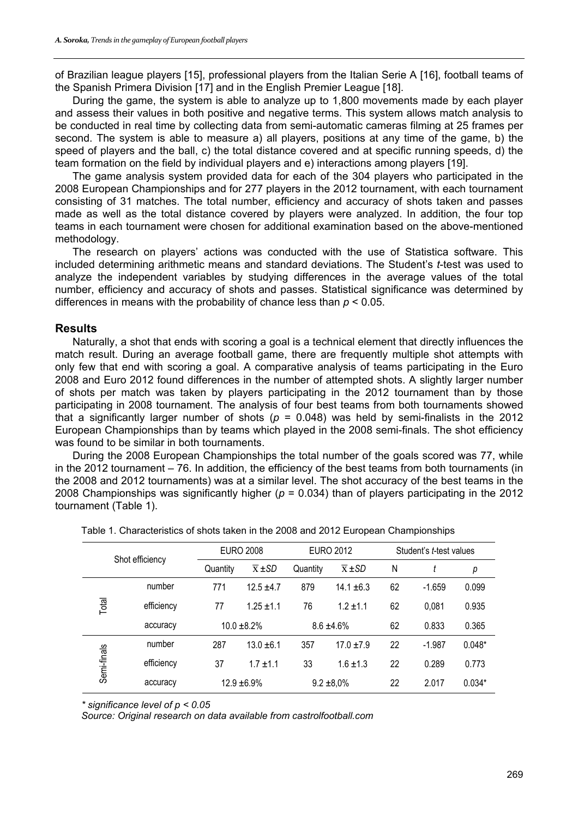of Brazilian league players [15], professional players from the Italian Serie A [16], football teams of the Spanish Primera Division [17] and in the English Premier League [18].

During the game, the system is able to analyze up to 1,800 movements made by each player and assess their values in both positive and negative terms. This system allows match analysis to be conducted in real time by collecting data from semi-automatic cameras filming at 25 frames per second. The system is able to measure a) all players, positions at any time of the game, b) the speed of players and the ball, c) the total distance covered and at specific running speeds, d) the team formation on the field by individual players and e) interactions among players [19].

The game analysis system provided data for each of the 304 players who participated in the 2008 European Championships and for 277 players in the 2012 tournament, with each tournament consisting of 31 matches. The total number, efficiency and accuracy of shots taken and passes made as well as the total distance covered by players were analyzed. In addition, the four top teams in each tournament were chosen for additional examination based on the above-mentioned methodology.

The research on players' actions was conducted with the use of Statistica software. This included determining arithmetic means and standard deviations. The Student's *t*-test was used to analyze the independent variables by studying differences in the average values of the total number, efficiency and accuracy of shots and passes. Statistical significance was determined by differences in means with the probability of chance less than *p* < 0.05.

### **Results**

Naturally, a shot that ends with scoring a goal is a technical element that directly influences the match result. During an average football game, there are frequently multiple shot attempts with only few that end with scoring a goal. A comparative analysis of teams participating in the Euro 2008 and Euro 2012 found differences in the number of attempted shots. A slightly larger number of shots per match was taken by players participating in the 2012 tournament than by those participating in 2008 tournament. The analysis of four best teams from both tournaments showed that a significantly larger number of shots ( $p = 0.048$ ) was held by semi-finalists in the 2012 European Championships than by teams which played in the 2008 semi-finals. The shot efficiency was found to be similar in both tournaments.

During the 2008 European Championships the total number of the goals scored was 77, while in the 2012 tournament – 76. In addition, the efficiency of the best teams from both tournaments (in the 2008 and 2012 tournaments) was at a similar level. The shot accuracy of the best teams in the 2008 Championships was significantly higher (*p* = 0.034) than of players participating in the 2012 tournament (Table 1).

| Shot efficiency |            |                  | <b>EURO 2008</b>   |                 | <b>EURO 2012</b>   |    | Student's t-test values |          |  |
|-----------------|------------|------------------|--------------------|-----------------|--------------------|----|-------------------------|----------|--|
|                 |            | Quantity         | $\overline{x}$ ±SD | Quantity        | $\overline{x}$ ±SD | N  |                         | р        |  |
|                 | number     | 771              | $12.5 + 4.7$       | 879             | $14.1 + 6.3$       | 62 | $-1.659$                | 0.099    |  |
| Total           | efficiency | 77               | $1.25 + 1.1$       | 76              | $1.2 + 1.1$        | 62 | 0,081                   | 0.935    |  |
|                 | accuracy   | $10.0 \pm 8.2\%$ |                    | $8.6 \pm 4.6\%$ |                    | 62 | 0.833                   | 0.365    |  |
|                 | number     | 287              | $13.0 + 6.1$       | 357             | $17.0 + 7.9$       | 22 | $-1.987$                | $0.048*$ |  |
| Semi-finals     | efficiency | 37               | $1.7 + 1.1$        | 33              | $1.6 \pm 1.3$      | 22 | 0.289                   | 0.773    |  |
|                 | accuracy   | $12.9 \pm 6.9\%$ |                    | $9.2 \pm 8.0\%$ |                    | 22 | 2.017                   | $0.034*$ |  |

|  | Table 1. Characteristics of shots taken in the 2008 and 2012 European Championships |  |  |  |  |  |
|--|-------------------------------------------------------------------------------------|--|--|--|--|--|
|--|-------------------------------------------------------------------------------------|--|--|--|--|--|

*\* significance level of p < 0.05* 

*Source: Original research on data available from castrolfootball.com*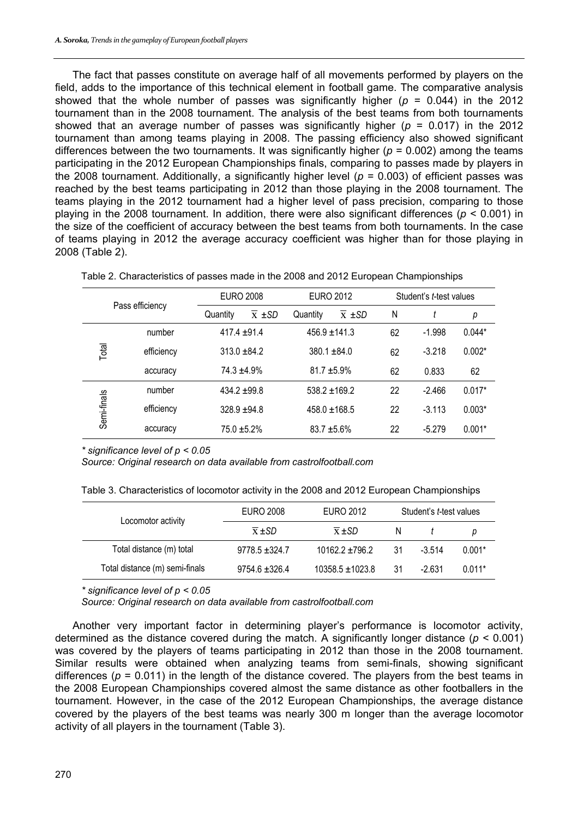The fact that passes constitute on average half of all movements performed by players on the field, adds to the importance of this technical element in football game. The comparative analysis showed that the whole number of passes was significantly higher  $(p = 0.044)$  in the 2012 tournament than in the 2008 tournament. The analysis of the best teams from both tournaments showed that an average number of passes was significantly higher (*p* = 0.017) in the 2012 tournament than among teams playing in 2008. The passing efficiency also showed significant differences between the two tournaments. It was significantly higher ( $p = 0.002$ ) among the teams participating in the 2012 European Championships finals, comparing to passes made by players in the 2008 tournament. Additionally, a significantly higher level (*p* = 0.003) of efficient passes was reached by the best teams participating in 2012 than those playing in the 2008 tournament. The teams playing in the 2012 tournament had a higher level of pass precision, comparing to those playing in the 2008 tournament. In addition, there were also significant differences (*p* < 0.001) in the size of the coefficient of accuracy between the best teams from both tournaments. In the case of teams playing in 2012 the average accuracy coefficient was higher than for those playing in 2008 (Table 2).

| Pass efficiency |            | <b>EURO 2008</b> |                         | <b>EURO 2012</b>  |                    | Student's t-test values |          |          |
|-----------------|------------|------------------|-------------------------|-------------------|--------------------|-------------------------|----------|----------|
|                 |            | Quantity         | $\overline{x}$ $\pm$ SD | Quantity          | $\overline{x}$ ±SD | N                       |          | р        |
|                 | number     | $417.4 \pm 91.4$ |                         | $456.9 \pm 141.3$ |                    | 62                      | $-1.998$ | $0.044*$ |
| Total           | efficiency | $313.0 + 84.2$   |                         | $380.1 + 84.0$    |                    | 62                      | $-3.218$ | $0.002*$ |
|                 | accuracy   | $74.3 + 4.9\%$   |                         | $81.7 + 5.9\%$    |                    | 62                      | 0.833    | 62       |
|                 | number     | $434.2 \pm 99.8$ |                         | $538.2 \pm 169.2$ |                    | 22                      | $-2.466$ | $0.017*$ |
| Semi-finals     | efficiency | $328.9 + 94.8$   |                         | $458.0 \pm 168.5$ |                    | 22                      | $-3.113$ | $0.003*$ |
|                 | accuracy   | $75.0 + 5.2\%$   |                         | $83.7 + 5.6\%$    |                    | 22                      | $-5.279$ | $0.001*$ |

Table 2. Characteristics of passes made in the 2008 and 2012 European Championships

*\* significance level of p < 0.05* 

*Source: Original research on data available from castrolfootball.com* 

| Table 3. Characteristics of locomotor activity in the 2008 and 2012 European Championships |  |  |
|--------------------------------------------------------------------------------------------|--|--|
|--------------------------------------------------------------------------------------------|--|--|

| EURO 2008          | EURO 2012            | Student's t-test values |          |          |
|--------------------|----------------------|-------------------------|----------|----------|
| $\overline{x}$ +SD | $\overline{x}$ ±SD   | N                       |          |          |
| $9778.5 \pm 324.7$ | $10162.2 + 796.2$    | 31                      | $-3.514$ | $0.001*$ |
| $9754.6 \pm 326.4$ | $10358.5 \pm 1023.8$ | 31                      | $-2.631$ | $0.011*$ |
|                    |                      |                         |          |          |

*\* significance level of p < 0.05* 

*Source: Original research on data available from castrolfootball.com* 

Another very important factor in determining player's performance is locomotor activity, determined as the distance covered during the match. A significantly longer distance (*p* < 0.001) was covered by the players of teams participating in 2012 than those in the 2008 tournament. Similar results were obtained when analyzing teams from semi-finals, showing significant differences ( $p = 0.011$ ) in the length of the distance covered. The players from the best teams in the 2008 European Championships covered almost the same distance as other footballers in the tournament. However, in the case of the 2012 European Championships, the average distance covered by the players of the best teams was nearly 300 m longer than the average locomotor activity of all players in the tournament (Table 3).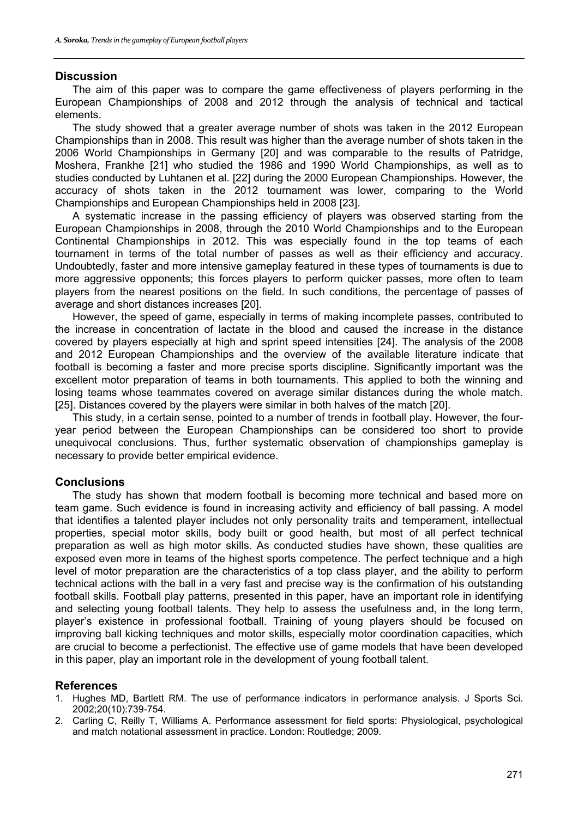#### **Discussion**

The aim of this paper was to compare the game effectiveness of players performing in the European Championships of 2008 and 2012 through the analysis of technical and tactical elements.

The study showed that a greater average number of shots was taken in the 2012 European Championships than in 2008. This result was higher than the average number of shots taken in the 2006 World Championships in Germany [20] and was comparable to the results of Patridge, Moshera, Frankhe [21] who studied the 1986 and 1990 World Championships, as well as to studies conducted by Luhtanen et al. [22] during the 2000 European Championships. However, the accuracy of shots taken in the 2012 tournament was lower, comparing to the World Championships and European Championships held in 2008 [23].

A systematic increase in the passing efficiency of players was observed starting from the European Championships in 2008, through the 2010 World Championships and to the European Continental Championships in 2012. This was especially found in the top teams of each tournament in terms of the total number of passes as well as their efficiency and accuracy. Undoubtedly, faster and more intensive gameplay featured in these types of tournaments is due to more aggressive opponents; this forces players to perform quicker passes, more often to team players from the nearest positions on the field. In such conditions, the percentage of passes of average and short distances increases [20].

However, the speed of game, especially in terms of making incomplete passes, contributed to the increase in concentration of lactate in the blood and caused the increase in the distance covered by players especially at high and sprint speed intensities [24]. The analysis of the 2008 and 2012 European Championships and the overview of the available literature indicate that football is becoming a faster and more precise sports discipline. Significantly important was the excellent motor preparation of teams in both tournaments. This applied to both the winning and losing teams whose teammates covered on average similar distances during the whole match. [25]. Distances covered by the players were similar in both halves of the match [20].

This study, in a certain sense, pointed to a number of trends in football play. However, the fouryear period between the European Championships can be considered too short to provide unequivocal conclusions. Thus, further systematic observation of championships gameplay is necessary to provide better empirical evidence.

#### **Conclusions**

The study has shown that modern football is becoming more technical and based more on team game. Such evidence is found in increasing activity and efficiency of ball passing. A model that identifies a talented player includes not only personality traits and temperament, intellectual properties, special motor skills, body built or good health, but most of all perfect technical preparation as well as high motor skills. As conducted studies have shown, these qualities are exposed even more in teams of the highest sports competence. The perfect technique and a high level of motor preparation are the characteristics of a top class player, and the ability to perform technical actions with the ball in a very fast and precise way is the confirmation of his outstanding football skills. Football play patterns, presented in this paper, have an important role in identifying and selecting young football talents. They help to assess the usefulness and, in the long term, player's existence in professional football. Training of young players should be focused on improving ball kicking techniques and motor skills, especially motor coordination capacities, which are crucial to become a perfectionist. The effective use of game models that have been developed in this paper, play an important role in the development of young football talent.

#### **References**

- 1. Hughes MD, Bartlett RM. The use of performance indicators in performance analysis. J Sports Sci. 2002;20(10):739-754.
- 2. Carling C, Reilly T, Williams A. Performance assessment for field sports: Physiological, psychological and match notational assessment in practice. London: Routledge; 2009.